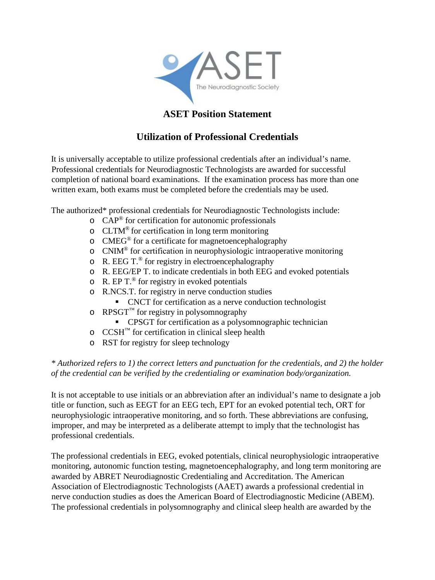

## **ASET Position Statement**

## **Utilization of Professional Credentials**

It is universally acceptable to utilize professional credentials after an individual's name. Professional credentials for Neurodiagnostic Technologists are awarded for successful completion of national board examinations. If the examination process has more than one written exam, both exams must be completed before the credentials may be used.

The authorized\* professional credentials for Neurodiagnostic Technologists include:

- $\circ$  CAP<sup>®</sup> for certification for autonomic professionals
- o CLTM® for certification in long term monitoring
- o CMEG® for a certificate for magnetoencephalography
- $\circ$  CNIM<sup>®</sup> for certification in neurophysiologic intraoperative monitoring
- $\circ$  R. EEG T.<sup>®</sup> for registry in electroencephalography
- o R. EEG/EP T. to indicate credentials in both EEG and evoked potentials
- $\circ$  R. EP T.<sup>®</sup> for registry in evoked potentials
- o R.NCS.T. for registry in nerve conduction studies
	- CNCT for certification as a nerve conduction technologist
- $\circ$  RPSGT<sup>™</sup> for registry in polysomnography
	- CPSGT for certification as a polysomnographic technician
- $\circ$  CCSH<sup>™</sup> for certification in clinical sleep health
- o RST for registry for sleep technology

## *\* Authorized refers to 1) the correct letters and punctuation for the credentials, and 2) the holder of the credential can be verified by the credentialing or examination body/organization.*

It is not acceptable to use initials or an abbreviation after an individual's name to designate a job title or function, such as EEGT for an EEG tech, EPT for an evoked potential tech, ORT for neurophysiologic intraoperative monitoring, and so forth. These abbreviations are confusing, improper, and may be interpreted as a deliberate attempt to imply that the technologist has professional credentials.

The professional credentials in EEG, evoked potentials, clinical neurophysiologic intraoperative monitoring, autonomic function testing, magnetoencephalography, and long term monitoring are awarded by ABRET Neurodiagnostic Credentialing and Accreditation. The American Association of Electrodiagnostic Technologists (AAET) awards a professional credential in nerve conduction studies as does the American Board of Electrodiagnostic Medicine (ABEM). The professional credentials in polysomnography and clinical sleep health are awarded by the